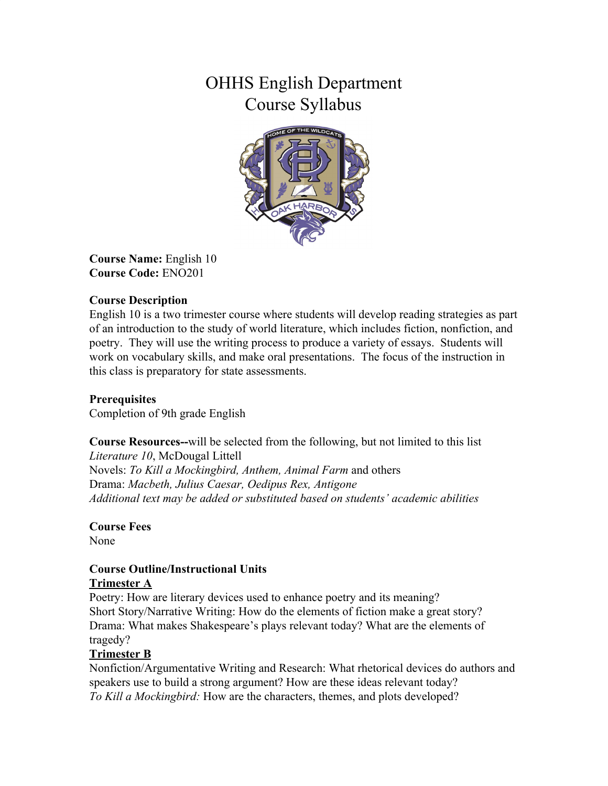# OHHS English Department Course Syllabus



**Course Name:** English 10 **Course Code:** ENO201

### **Course Description**

English 10 is a two trimester course where students will develop reading strategies as part of an introduction to the study of world literature, which includes fiction, nonfiction, and poetry. They will use the writing process to produce a variety of essays. Students will work on vocabulary skills, and make oral presentations. The focus of the instruction in this class is preparatory for state assessments.

## **Prerequisites**

Completion of 9th grade English

**Course Resources--**will be selected from the following, but not limited to this list *Literature 10*, McDougal Littell Novels: *To Kill a Mockingbird, Anthem, Animal Farm* and others Drama: *Macbeth, Julius Caesar, Oedipus Rex, Antigone Additional text may be added or substituted based on students' academic abilities*

**Course Fees** None

#### **Course Outline/Instructional Units Trimester A**

Poetry: How are literary devices used to enhance poetry and its meaning? Short Story/Narrative Writing: How do the elements of fiction make a great story? Drama: What makes Shakespeare's plays relevant today? What are the elements of tragedy?

#### **Trimester B**

Nonfiction/Argumentative Writing and Research: What rhetorical devices do authors and speakers use to build a strong argument? How are these ideas relevant today? *To Kill a Mockingbird:* How are the characters, themes, and plots developed?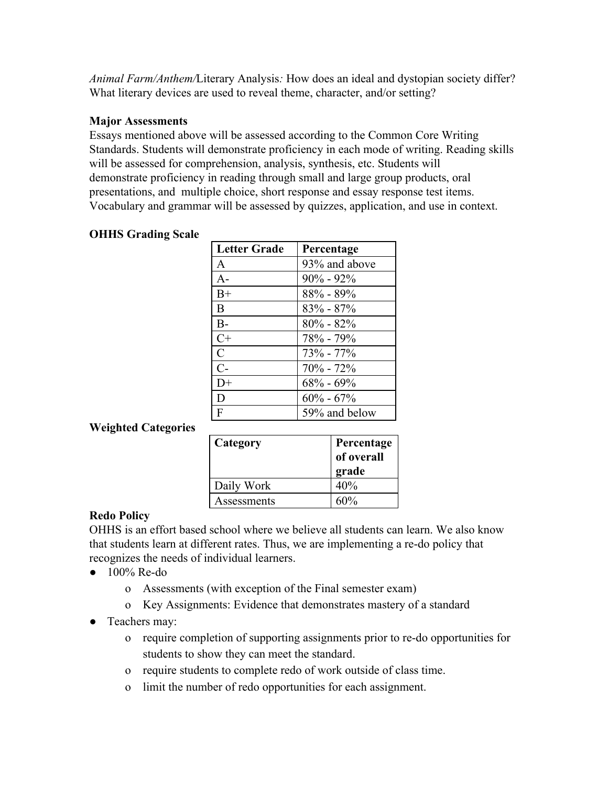*Animal Farm/Anthem/*Literary Analysis*:* How does an ideal and dystopian society differ? What literary devices are used to reveal theme, character, and/or setting?

#### **Major Assessments**

Essays mentioned above will be assessed according to the Common Core Writing Standards. Students will demonstrate proficiency in each mode of writing. Reading skills will be assessed for comprehension, analysis, synthesis, etc. Students will demonstrate proficiency in reading through small and large group products, oral presentations, and multiple choice, short response and essay response test items. Vocabulary and grammar will be assessed by quizzes, application, and use in context.

| <b>Letter Grade</b> | Percentage     |
|---------------------|----------------|
| A                   | 93\% and above |
| $A -$               | $90\% - 92\%$  |
| $B+$                | $88\% - 89\%$  |
| B                   | $83\% - 87\%$  |
| $B -$               | $80\% - 82\%$  |
| $C+$                | $78\% - 79\%$  |
| $\overline{C}$      | $73\% - 77\%$  |
| $C-$                | $70\% - 72\%$  |
| $D+$                | $68\% - 69\%$  |
| D                   | $60\% - 67\%$  |
| F                   | 59% and below  |

# **OHHS Grading Scale**

## **Weighted Categories**

| Category    | Percentage<br>of overall<br>grade |
|-------------|-----------------------------------|
| Daily Work  | 40%                               |
| Assessments | $60\%$                            |

## **Redo Policy**

OHHS is an effort based school where we believe all students can learn. We also know that students learn at different rates. Thus, we are implementing a re-do policy that recognizes the needs of individual learners.

- 100% Re-do
	- o Assessments (with exception of the Final semester exam)
	- o Key Assignments: Evidence that demonstrates mastery of a standard
- Teachers may:
	- o require completion of supporting assignments prior to re-do opportunities for students to show they can meet the standard.
	- o require students to complete redo of work outside of class time.
	- o limit the number of redo opportunities for each assignment.